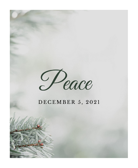

# DECEMBER 5, 2021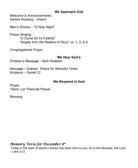## **We Approach God**

Welcome & Announcements Advent Reading – Peace

Men's Chorus – "O Holy Night"

Praise Singing "O Come All Ye Faithful" "Angels from the Realms of Glory" vs. 1, 2, & 4

Congregational Prayer

## **We Hear God's**

Children's Message – Beth Redeker

Message – Gabriel: Peace for Stressful Times Scripture – Daniel 12

## **We Respond to God**

Prayer "Glory, Let There Be Peace"

**Blessing** 

# *Memory Verse for December 8 th*

Today in the town of David a Savior has been born to you, he is the Messiah, the Lord. - Luke 2:11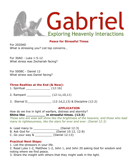

#### **Peace for Stressful Times**

For 2020AD What is stressing you? List top concerns…

For 30AD - Luke 1:5-12 What stress was Zechariah facing?

For 500BC - Daniel 12 What stress was Daniel facing?

#### **Three Realties at the End (& Now):**

- 1. Spiritual \_\_\_\_\_\_\_\_\_\_\_\_\_\_ (12:1b)
- 2. Rampant \_\_\_\_\_\_\_\_\_\_\_\_\_\_ (12:1c,10,11)
- 3. Eternal D\_\_\_\_\_\_\_\_\_\_\_\_\_\_ (12:1d,2,13) & Discipline (12:2)

#### **APPLICATION**

How do we live in light of warfare, distress and eternity?

#### **Shine like \_\_\_\_\_\_\_\_\_\_ in stressful times. (12:3)**

*Those who are wise will shine like the brightness of the heavens, and those who lead many to righteousness, like the stars for ever and ever. (Daniel 12:3)*

- A. Lead many to \_\_\_\_\_\_\_\_\_\_\_\_\_\_\_ (Daniel 12:3)
- B. Ask God for \_\_\_\_\_\_\_\_\_\_\_\_\_\_ (Daniel 10:12, 12:8)
- C. Go your way & \_\_\_\_\_\_\_\_\_\_ (Daniel 12:13)

#### **Practical Next Steps:**

1. List the stressors in your life.

- 2. Read Luke 1-2, Matthew 1-2, John 1, and John 20 asking God for wisdom and noting where we find peace.
- 3. Share the insight with others that they might walk in the light.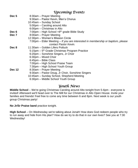## *Upcoming Events*

| Dec 5         | 8:30am - Prayer Meeting                                                                                  |
|---------------|----------------------------------------------------------------------------------------------------------|
|               | 9:30am - Pastor Kevin, Men's Chorus                                                                      |
|               | 10:45am - Sunday School                                                                                  |
|               | 5:00pm - Caroling around Alto                                                                            |
|               | 6:00pm - Christmas in Alto                                                                               |
| Dec 6         | $7:00 \text{pm}$ – High School +8 <sup>th</sup> grade Bible Study                                        |
| Dec 7         | 8:00am - Prayer Meeting                                                                                  |
|               | 12:30pm - Women's Mission Circle                                                                         |
|               | 7:00pm – Elder Meeting – If you are interested in membership or baptism, please<br>contact Pastor Kevin. |
| Dec 8         | 11:30am – Golden Lifers Potluck                                                                          |
|               | 5:15pm – 5 <sup>th</sup> Grade Christmas Program Practice                                                |
|               | 6:20pm - Sonshine Singers, Jr Choir                                                                      |
|               | 6:30pm – Mixed Choir                                                                                     |
|               | 6:45pm - Bible Class                                                                                     |
|               | 7:00pm – High School Praise Team                                                                         |
|               | 7:30pm - High School Youth Group                                                                         |
| <b>Dec 12</b> | 8:30am – Prayer Meeting                                                                                  |
|               | 9:30am - Pastor Doug, Jr Choir, Sonshine Singers                                                         |
|               | 10:45am – Sunday School, Shepherd Meeting                                                                |
|               | 6:30pm - Middle School Youth Group                                                                       |
|               |                                                                                                          |

## *Youth News*

**Middle School** – We're going Christmas Caroling around Alto tonight from 5-6pm - everyone is invited! Afterward we'll head over to The Mill for our Christmas in Alto Open House. Invite your families and friends! Feel free to come any time between 6 and 8pm. Next week is our youth group Christmas party!

**No Jr/Sr Praise band** practice tonight.

**High School** – On Wednesday we're talking about Jonah! How does God redeem people who try to run away and hide from His plan? How do we try to do that in our own lives? See you at 7:30 Wednesday!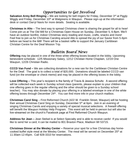# *Opportunities to Get Involved*

**Salvation Army Bell Ringing –** We are looking for bell ringers for Friday, December 3<sup>rd</sup> at Piggly Wiggly and Friday, December 10<sup>th</sup> at Walgreens in Waupun. Please sign-up at the information desk or contact Darryl Navis for more details. Seating is available.

**Christmas in Alto** – The best way to spread Christmas cheer is sharing the gospel for all to hear! Come join us at The Old Mill for a Christmas Open House on Sunday, December 5, 6-8pm. We'll have an outdoor bonfire, indoor Christmas story reading and music, crafts, snacks and more! Feel free to join us for Christmas Caroling around Alto to spread the joy of our Savior from 5-6pm before we head to the Mill! There will be a basket raffle to support the January Caribbean Christian Centre for the Deaf Mission Trip.

# *Bulletin Board News*

**Offering** may be placed in one of the three white offering boxes located in the lobby. Upcoming benevolent schedule: 12/5 Missionary Salary, 12/12 Christian Home Chaplain, 12/19 One Waupun, 12/26 Christian Radio.

**CCCD Van Fund –** We are collecting donations for a new van for the Caribbean Christian Centre for the Deaf. The goal is to collect a total of \$20,000. Donations should be labeled CCCD van fund (on the envelope or check memo) and may be placed in the offering boxes in the lobby.

**Love Offering –** This year's recipient is the family of Travis & Jessica Schultz. A second offering will be collected each week in Sunday school class (parents, please explain to your children that one offering goes in the regular offering and the other should be given to a Sunday school teacher). You may also donate by placing your offering in a labeled envelope in one of the white offering boxes through December  $24<sup>th</sup>$ . You can find more info in your church mailbox.

**Christmas Carol Sing** – First Reformed Church (422 W. Franklin Street, Waupun) will be hosting their annual Christmas Carol Sing on Sunday, December 5<sup>th</sup> at 6pm. Join in an evening of singing Christmas Carols and enjoying a variety of special musical selections. A freewill offering will benefit the Waupun Holiday Help Program. This event will be held in-person but will also be live-streamed on the church's Facebook page at First Reformed Church Waupun.

**Address for Jean –** Jean Stelsel is at Select Specialty and is able to receive cards! If you would like to send her a card, it can be mailed to 801 Braxton Place, Madison WI 53715.

**Christmas Dinner at the Wesley Center –** Reserve your spot for a free Christmas day homecooked buffet style meal at the Wesley Center. The meal will be served on December  $25<sup>th</sup>$  at 11:30am-12:45pm. Call 928-3310 for reservations.